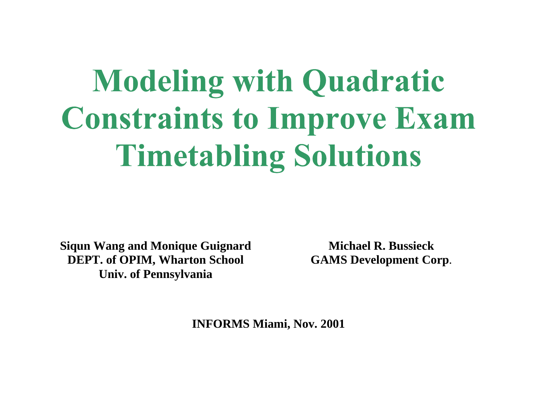# **Modeling with Quadratic Constraints to Improve Exam Timetabling Solutions**

**Siqun Wang and Monique Guignard DEPT. of OPIM, Wharton School Univ. of Pennsylvania** 

**Michael R. Bussieck GAMS Development Corp**.

**INFORMS Miami, Nov. 2001**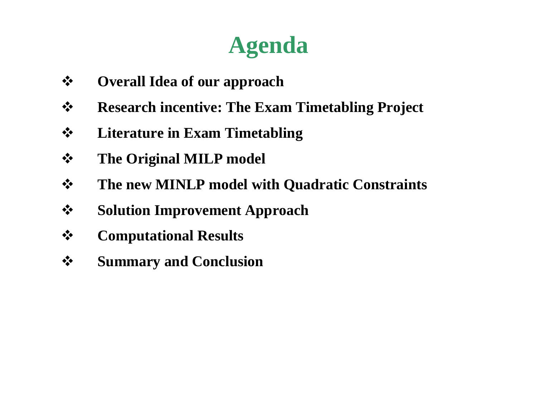# **Agenda**

- $\frac{1}{2}$ **Overall Idea of our approach**
- $\frac{1}{2}$ **Research incentive: The Exam Timetabling Project**
- $\frac{1}{2}$ **Literature in Exam Timetabling**
- $\frac{1}{2}$ **The Original MILP model**
- $\frac{1}{2}$ **The new MINLP model with Quadratic Constraints**
- $\frac{1}{2}$ **Solution Improvement Approach**
- $\frac{1}{2}$ **Computational Results**
- $\frac{1}{2}$ **Summary and Conclusion**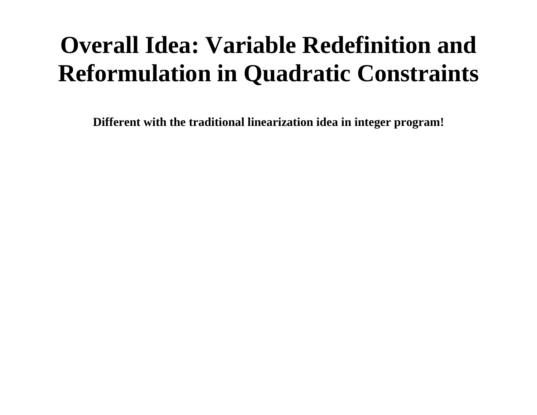# **Overall Idea: Variable Redefinition and Reformulation in Quadratic Constraints**

**Different with the traditional linearization idea in integer program!**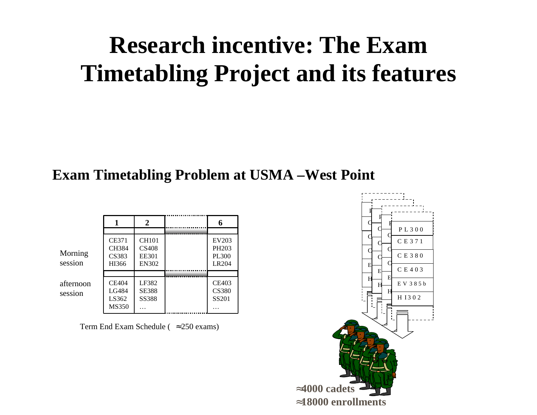# **Research incentive: The Exam Timetabling Project and its features**

#### **Exam Timetabling Problem at USMA –West Point**

|                      |                                                | 2                                                     |                                                     |
|----------------------|------------------------------------------------|-------------------------------------------------------|-----------------------------------------------------|
|                      |                                                |                                                       |                                                     |
| Morning<br>session   | <b>CE371</b><br><b>CH384</b><br>CS383<br>HI366 | <b>CH101</b><br><b>CS408</b><br>EE301<br><b>EN302</b> | EV203<br>PH <sub>203</sub><br><b>PL300</b><br>LR204 |
|                      |                                                |                                                       |                                                     |
| afternoon<br>session | <b>CE404</b><br>LG484<br>LS362<br><b>MS350</b> | LF382<br><b>SE388</b><br><b>SS388</b>                 | CE403<br><b>CS380</b><br>SS201                      |

Term End Exam Schedule ( <sup>≈</sup>250 exams)

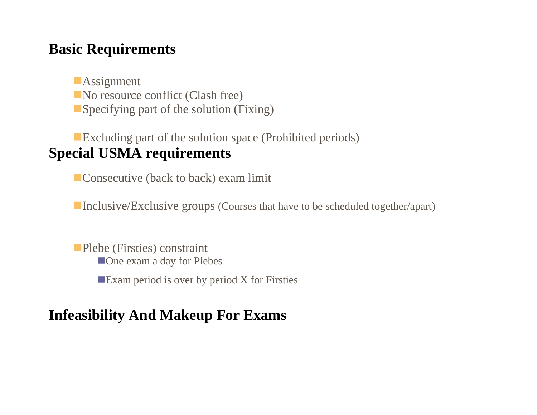#### **Basic Requirements**

**Assignment** No resource conflict (Clash free) Specifying part of the solution (Fixing)

Excluding part of the solution space (Prohibited periods) **Special USMA requirements** 

**Consecutive (back to back) exam limit** 

■Inclusive/Exclusive groups (Courses that have to be scheduled together/apart)

Plebe (Firsties) constraint **One** exam a day for Plebes **Exam period is over by period X for Firsties** 

#### **Infeasibility And Makeup For Exams**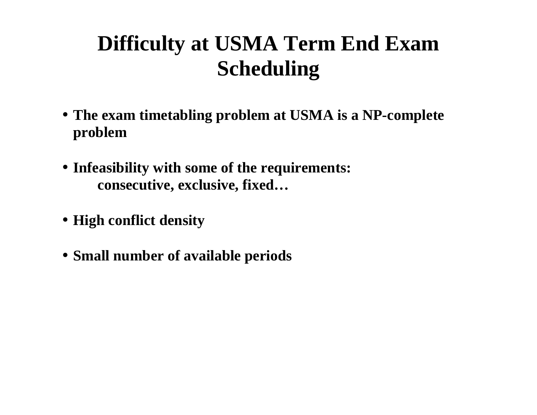## **Difficulty at USMA Term End Exam Scheduling**

- **The exam timetabling problem at USMA is a NP-complete problem**
- **Infeasibility with some of the requirements: consecutive, exclusive, fixed…**
- **High conflict density**
- **Small number of available periods**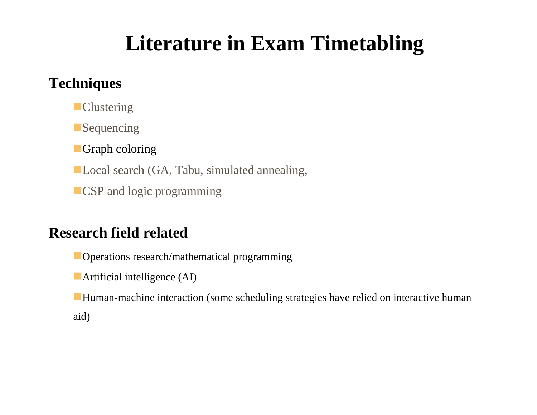## **Literature in Exam Timetabling**

#### **Techniques**

**Clustering** 

**Sequencing** 

**Graph coloring** 

■ Local search (GA, Tabu, simulated annealing,

**CSP** and logic programming

#### **Research field related**

**Operations research/mathematical programming** 

**Artificial intelligence (AI)** 

Human-machine interaction (some scheduling strategies have relied on interactive human aid)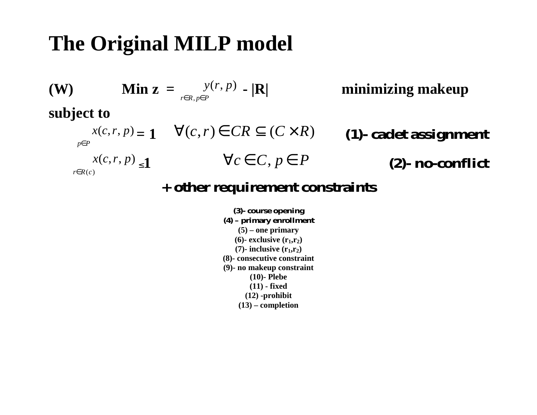### **The Original MILP model**



#### **+ other requirement constraints**

**(3)- course opening (4) – primary enrollment (5) – one primary**   $(6)$ - exclusive  $(r_1, r_2)$  $(7)$ - inclusive  $(r_1, r_2)$ **(8)- consecutive constraint (9)- no makeup constraint (10)- Plebe (11) - fixed (12) -prohibit (13) – completion**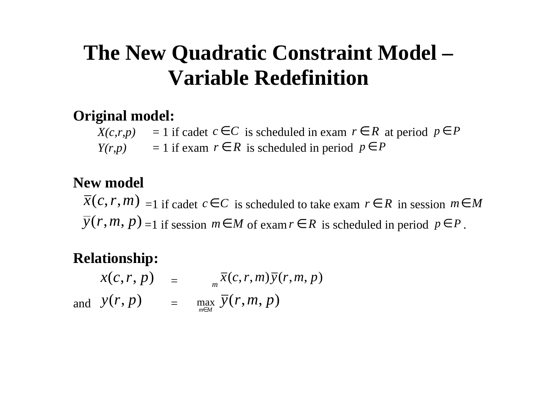### **The New Quadratic Constraint Model – Variable Redefinition**

#### **Original model:**

 $X(c,r,p) = 1$  if cadet  $c \in C$  is scheduled in exam  $r \in R$  at period  $p \in P$  $Y(r,p)$  = 1 if exam  $r \in R$  is scheduled in period  $p \in P$ 

#### **New model**

 $\overline{x}(c, r, m) = 1$  if cadet  $c \in C$  is scheduled to take exam  $r \in R$  in session  $m \in M$  $\overline{y}(r, m, p) = 1$  if session  $m \in M$  of exam  $r \in R$  is scheduled in period  $p \in P$ .

#### **Relationship:**

 $x(c, r, p)$  =  $\frac{m}{2}$  $\overline{x}(c,r,m)\overline{y}(r,m,p)$ and  $y(r, p)$  = may max  $\bar{y}(r, m, p)$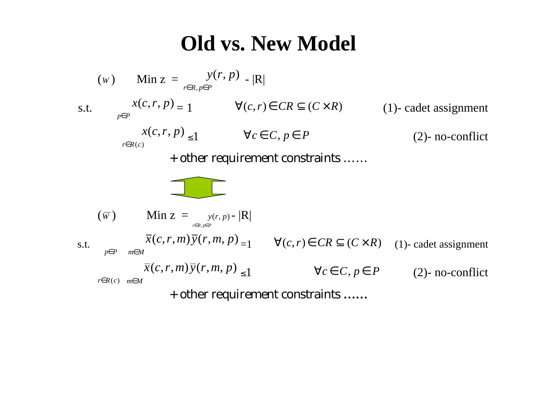### **Old vs. New Model**

(w) Min 
$$
z = \frac{y(r, p)}{r \in R, p \in P}
$$

\ns.t.

\n
$$
\frac{x(c, r, p)}{p \in P} = 1 \quad \forall (c, r) \in CR \subseteq (C \times R)
$$
\n(1)- cadet assignment

\n
$$
\frac{x(c, r, p)}{r \in R(c)} \leq 1 \quad \forall c \in C, p \in P
$$
\n(2)- no-conflict

\n+ other requirement constraints

\n...

\n( $\overline{w}$ ) Min  $z = \frac{y(r, p)}{r \in R, p \in P}$ 

\ns.t.

\n
$$
\frac{\overline{x}(c, r, m) \overline{y}(r, m, p)}{\overline{x}(c, r, m) \overline{y}(r, m, p)} = 1 \quad \forall (c, r) \in CR \subseteq (C \times R)
$$
\n(1)- cadet assignment

\n
$$
\frac{\overline{x}(c, r, m) \overline{y}(r, m, p)}{\overline{x}(c, r, m) \overline{y}(r, m, p)} \leq 1 \quad \forall c \in C, p \in P
$$
\n(2)- no-conflict

\n+ other requirement constraints

\n...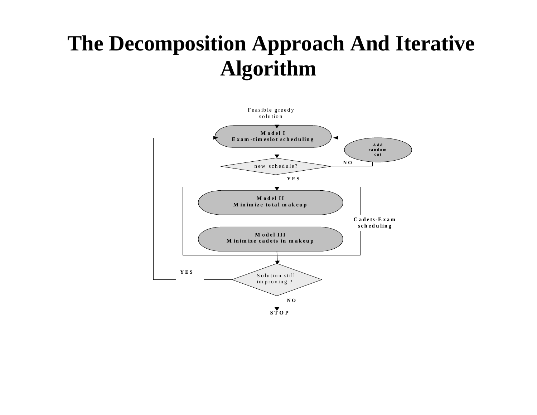### **The Decomposition Approach And Iterative Algorithm**

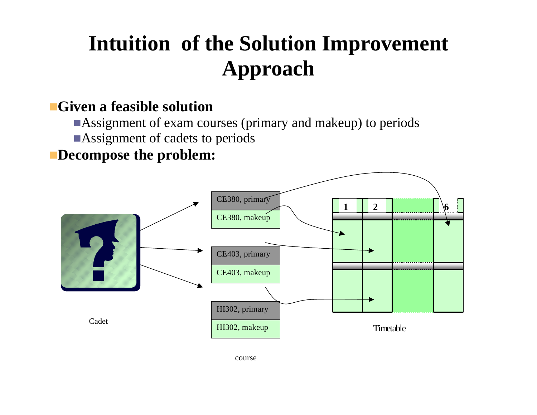# **Intuition of the Solution Improvement Approach**

#### **Given a feasible solution**

- Assignment of exam courses (primary and makeup) to periods
- **Assignment of cadets to periods**

#### **Decompose the problem:**



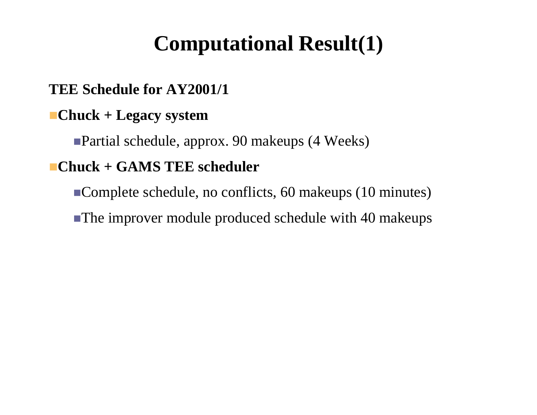### **Computational Result(1)**

#### **TEE Schedule for AY2001/1**

#### **Chuck + Legacy system**

Partial schedule, approx. 90 makeups (4 Weeks)

#### **Chuck + GAMS TEE scheduler**

Complete schedule, no conflicts, 60 makeups (10 minutes)

The improver module produced schedule with 40 makeups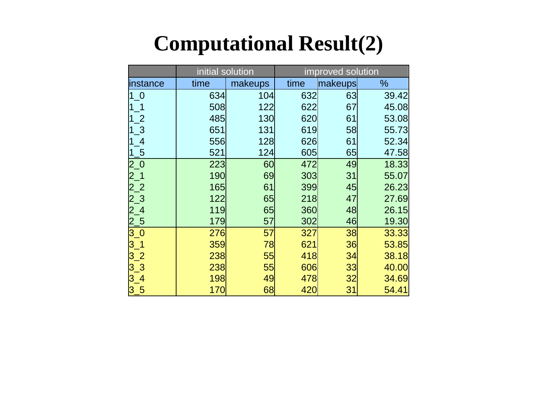## **Computational Result(2)**

|                                        | initial solution |         | improved solution |         |       |
|----------------------------------------|------------------|---------|-------------------|---------|-------|
| instance                               | time             | makeups | time              | makeups | %     |
| 1 <sub>0</sub>                         | 634              | 104     | 632               | 63      | 39.42 |
|                                        | 508              | 122     | 622               | 67      | 45.08 |
| $\mathbf{r}$                           | 485              | 130     | 620               | 61      | 53.08 |
| $\overline{\mathbf{3}}$                | 651              | 131     | 619               | 58      | 55.73 |
| $\overline{\mathcal{A}}$               | 556              | 128     | 626               | 61      | 52.34 |
| $-5$                                   | 521              | 124     | 605               | 65      | 47.58 |
|                                        | 223              | 60      | 472               | 49      | 18.33 |
|                                        | 190              | 69      | 303               | 31      | 55.07 |
|                                        | 165              | 61      | 399               | 45      | 26.23 |
|                                        | 122              | 65      | 218               | 47      | 27.69 |
|                                        | 119              | 65      | 360               | 48      | 26.15 |
| 2_0<br>2_1<br>2_3<br>2_3<br>2_5<br>3_0 | 179              | 57      | 302               | 46      | 19.30 |
|                                        | 276              | 57      | 327               | 38      | 33.33 |
| $3-1$                                  | 359              | 78      | 621               | 36      | 53.85 |
| 3 <sub>2</sub>                         | 238              | 55      | 418               | 34      | 38.18 |
| $3-3$                                  | 238              | 55      | 606               | 33      | 40.00 |
| $3\_4$                                 | 198              | 49      | 478               | 32      | 34.69 |
| $3 - 5$                                | 170              | 68      | 420               | 31      | 54.41 |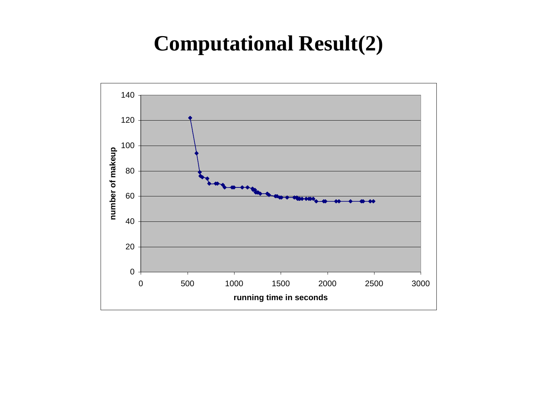### **Computational Result(2)**

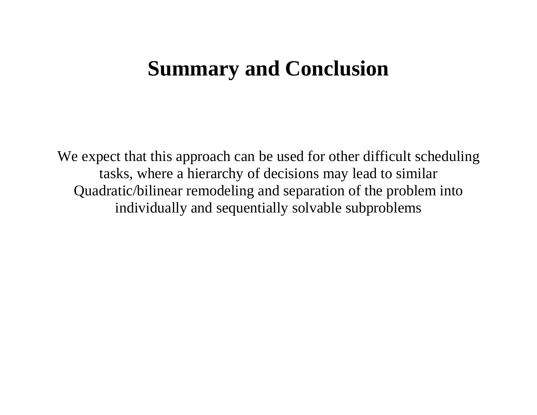### **Summary and Conclusion**

We expect that this approach can be used for other difficult scheduling tasks, where a hierarchy of decisions may lead to similar Quadratic/bilinear remodeling and separation of the problem into individually and sequentially solvable subproblems